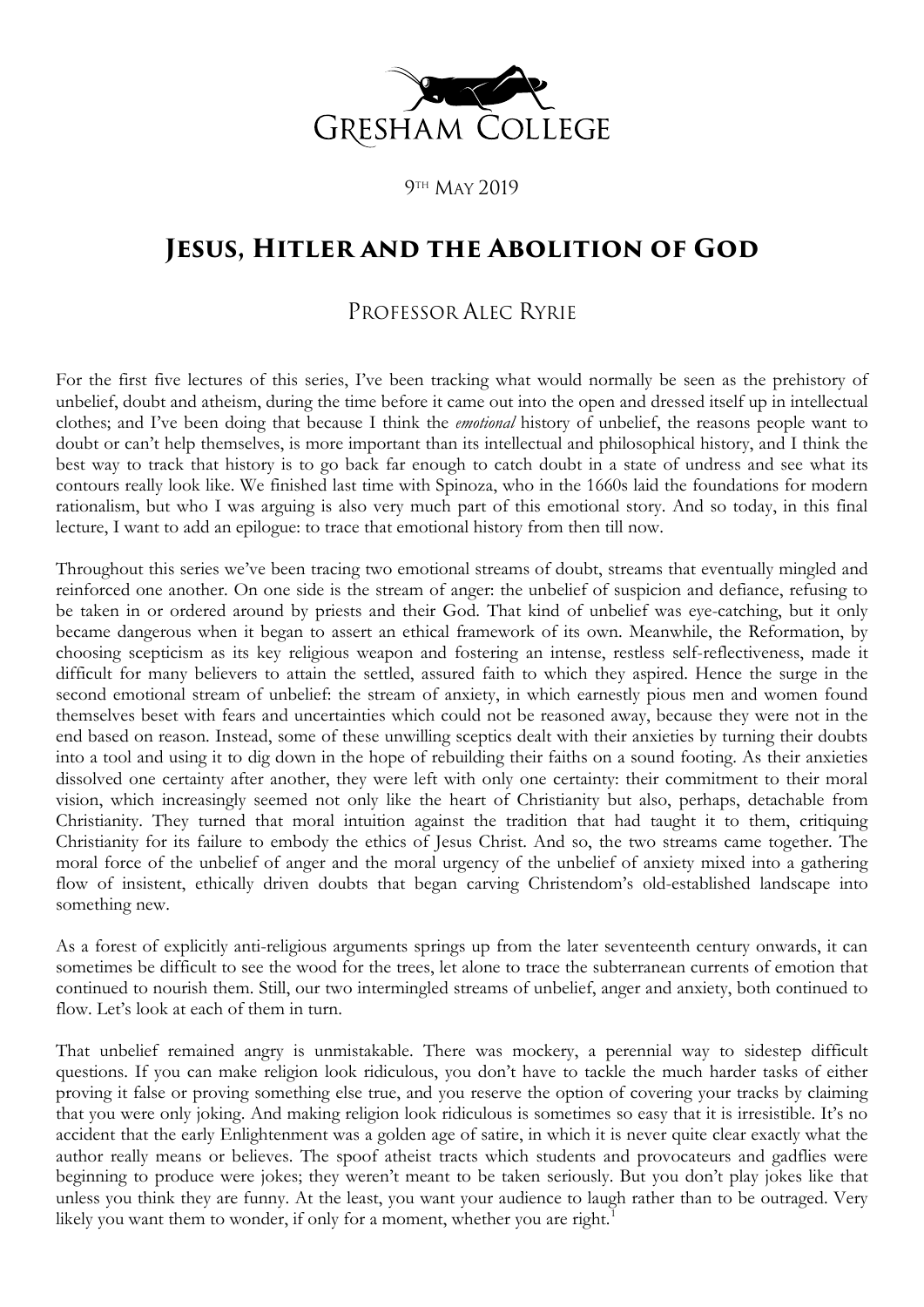

**9TH MAY 2019** 

## **Jesus, Hitler and the Abolition of God**

## PROFESSOR ALEC RYRIE

For the first five lectures of this series, I've been tracking what would normally be seen as the prehistory of unbelief, doubt and atheism, during the time before it came out into the open and dressed itself up in intellectual clothes; and I've been doing that because I think the *emotional* history of unbelief, the reasons people want to doubt or can't help themselves, is more important than its intellectual and philosophical history, and I think the best way to track that history is to go back far enough to catch doubt in a state of undress and see what its contours really look like. We finished last time with Spinoza, who in the 1660s laid the foundations for modern rationalism, but who I was arguing is also very much part of this emotional story. And so today, in this final lecture, I want to add an epilogue: to trace that emotional history from then till now.

Throughout this series we've been tracing two emotional streams of doubt, streams that eventually mingled and reinforced one another. On one side is the stream of anger: the unbelief of suspicion and defiance, refusing to be taken in or ordered around by priests and their God. That kind of unbelief was eye-catching, but it only became dangerous when it began to assert an ethical framework of its own. Meanwhile, the Reformation, by choosing scepticism as its key religious weapon and fostering an intense, restless self-reflectiveness, made it difficult for many believers to attain the settled, assured faith to which they aspired. Hence the surge in the second emotional stream of unbelief: the stream of anxiety, in which earnestly pious men and women found themselves beset with fears and uncertainties which could not be reasoned away, because they were not in the end based on reason. Instead, some of these unwilling sceptics dealt with their anxieties by turning their doubts into a tool and using it to dig down in the hope of rebuilding their faiths on a sound footing. As their anxieties dissolved one certainty after another, they were left with only one certainty: their commitment to their moral vision, which increasingly seemed not only like the heart of Christianity but also, perhaps, detachable from Christianity. They turned that moral intuition against the tradition that had taught it to them, critiquing Christianity for its failure to embody the ethics of Jesus Christ. And so, the two streams came together. The moral force of the unbelief of anger and the moral urgency of the unbelief of anxiety mixed into a gathering flow of insistent, ethically driven doubts that began carving Christendom's old-established landscape into something new.

As a forest of explicitly anti-religious arguments springs up from the later seventeenth century onwards, it can sometimes be difficult to see the wood for the trees, let alone to trace the subterranean currents of emotion that continued to nourish them. Still, our two intermingled streams of unbelief, anger and anxiety, both continued to flow. Let's look at each of them in turn.

That unbelief remained angry is unmistakable. There was mockery, a perennial way to sidestep difficult questions. If you can make religion look ridiculous, you don't have to tackle the much harder tasks of either proving it false or proving something else true, and you reserve the option of covering your tracks by claiming that you were only joking. And making religion look ridiculous is sometimes so easy that it is irresistible. It's no accident that the early Enlightenment was a golden age of satire, in which it is never quite clear exactly what the author really means or believes. The spoof atheist tracts which students and provocateurs and gadflies were beginning to produce were jokes; they weren't meant to be taken seriously. But you don't play jokes like that unless you think they are funny. At the least, you want your audience to laugh rather than to be outraged. Very likely you want them to wonder, if only for a moment, whether you are right.<sup>[1](#page-2-0)</sup>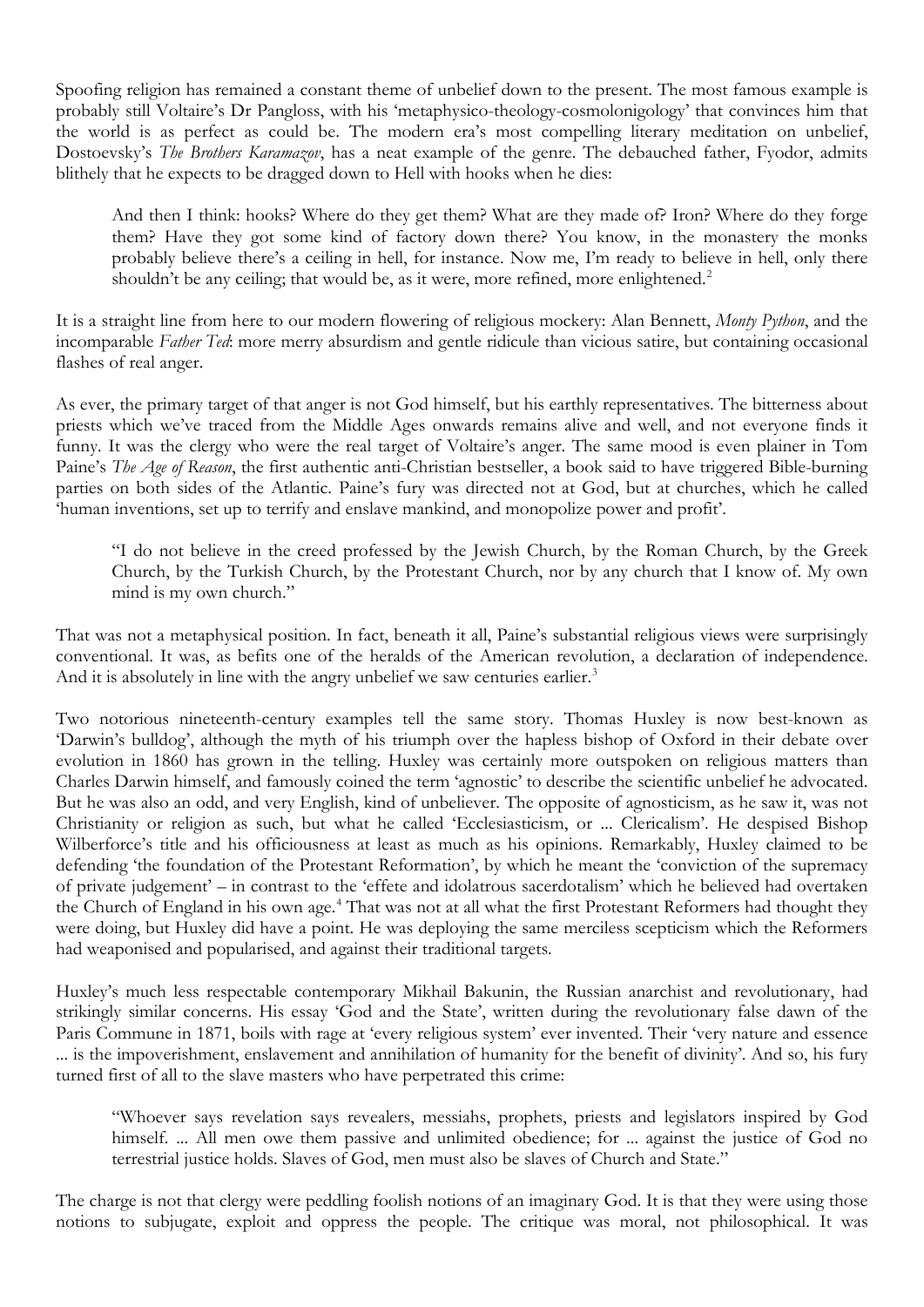Spoofing religion has remained a constant theme of unbelief down to the present. The most famous example is probably still Voltaire's Dr Pangloss, with his 'metaphysico-theology-cosmolonigology' that convinces him that the world is as perfect as could be. The modern era's most compelling literary meditation on unbelief, Dostoevsky's *The Brothers Karamazov*, has a neat example of the genre. The debauched father, Fyodor, admits blithely that he expects to be dragged down to Hell with hooks when he dies:

And then I think: hooks? Where do they get them? What are they made of? Iron? Where do they forge them? Have they got some kind of factory down there? You know, in the monastery the monks probably believe there's a ceiling in hell, for instance. Now me, I'm ready to believe in hell, only there shouldn't be any ceiling; that would be, as it were, more refined, more enlightened.<sup>[2](#page-2-1)</sup>

It is a straight line from here to our modern flowering of religious mockery: Alan Bennett, *Monty Python*, and the incomparable *Father Ted*: more merry absurdism and gentle ridicule than vicious satire, but containing occasional flashes of real anger.

As ever, the primary target of that anger is not God himself, but his earthly representatives. The bitterness about priests which we've traced from the Middle Ages onwards remains alive and well, and not everyone finds it funny. It was the clergy who were the real target of Voltaire's anger. The same mood is even plainer in Tom Paine's *The Age of Reason*, the first authentic anti-Christian bestseller, a book said to have triggered Bible-burning parties on both sides of the Atlantic. Paine's fury was directed not at God, but at churches, which he called 'human inventions, set up to terrify and enslave mankind, and monopolize power and profit'.

"I do not believe in the creed professed by the Jewish Church, by the Roman Church, by the Greek Church, by the Turkish Church, by the Protestant Church, nor by any church that I know of. My own mind is my own church."

That was not a metaphysical position. In fact, beneath it all, Paine's substantial religious views were surprisingly conventional. It was, as befits one of the heralds of the American revolution, a declaration of independence. And it is absolutely in line with the angry unbelief we saw centuries earlier.<sup>[3](#page-2-2)</sup>

Two notorious nineteenth-century examples tell the same story. Thomas Huxley is now best-known as 'Darwin's bulldog', although the myth of his triumph over the hapless bishop of Oxford in their debate over evolution in 1860 has grown in the telling. Huxley was certainly more outspoken on religious matters than Charles Darwin himself, and famously coined the term 'agnostic' to describe the scientific unbelief he advocated. But he was also an odd, and very English, kind of unbeliever. The opposite of agnosticism, as he saw it, was not Christianity or religion as such, but what he called 'Ecclesiasticism, or ... Clericalism'. He despised Bishop Wilberforce's title and his officiousness at least as much as his opinions. Remarkably, Huxley claimed to be defending 'the foundation of the Protestant Reformation', by which he meant the 'conviction of the supremacy of private judgement' – in contrast to the 'effete and idolatrous sacerdotalism' which he believed had overtaken the Church of England in his own age.<sup>[4](#page-2-3)</sup> That was not at all what the first Protestant Reformers had thought they were doing, but Huxley did have a point. He was deploying the same merciless scepticism which the Reformers had weaponised and popularised, and against their traditional targets.

Huxley's much less respectable contemporary Mikhail Bakunin, the Russian anarchist and revolutionary, had strikingly similar concerns. His essay 'God and the State', written during the revolutionary false dawn of the Paris Commune in 1871, boils with rage at 'every religious system' ever invented. Their 'very nature and essence ... is the impoverishment, enslavement and annihilation of humanity for the benefit of divinity'. And so, his fury turned first of all to the slave masters who have perpetrated this crime:

"Whoever says revelation says revealers, messiahs, prophets, priests and legislators inspired by God himself. ... All men owe them passive and unlimited obedience; for ... against the justice of God no terrestrial justice holds. Slaves of God, men must also be slaves of Church and State."

The charge is not that clergy were peddling foolish notions of an imaginary God. It is that they were using those notions to subjugate, exploit and oppress the people. The critique was moral, not philosophical. It was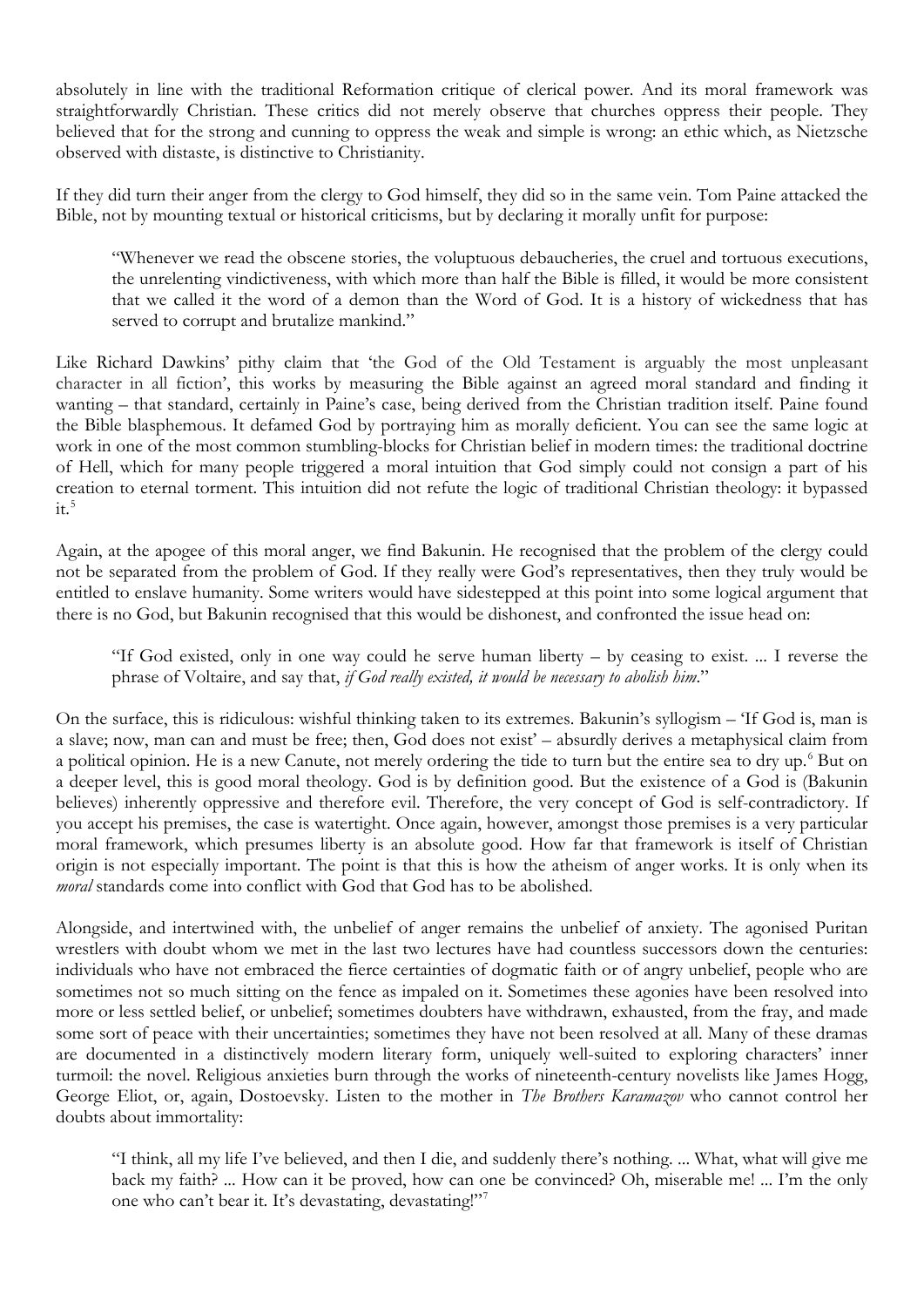absolutely in line with the traditional Reformation critique of clerical power. And its moral framework was straightforwardly Christian. These critics did not merely observe that churches oppress their people. They believed that for the strong and cunning to oppress the weak and simple is wrong: an ethic which, as Nietzsche observed with distaste, is distinctive to Christianity.

If they did turn their anger from the clergy to God himself, they did so in the same vein. Tom Paine attacked the Bible, not by mounting textual or historical criticisms, but by declaring it morally unfit for purpose:

"Whenever we read the obscene stories, the voluptuous debaucheries, the cruel and tortuous executions, the unrelenting vindictiveness, with which more than half the Bible is filled, it would be more consistent that we called it the word of a demon than the Word of God. It is a history of wickedness that has served to corrupt and brutalize mankind."

Like Richard Dawkins' pithy claim that 'the God of the Old Testament is arguably the most unpleasant character in all fiction', this works by measuring the Bible against an agreed moral standard and finding it wanting – that standard, certainly in Paine's case, being derived from the Christian tradition itself. Paine found the Bible blasphemous. It defamed God by portraying him as morally deficient. You can see the same logic at work in one of the most common stumbling-blocks for Christian belief in modern times: the traditional doctrine of Hell, which for many people triggered a moral intuition that God simply could not consign a part of his creation to eternal torment. This intuition did not refute the logic of traditional Christian theology: it bypassed  $it.<sup>5</sup>$  $it.<sup>5</sup>$  $it.<sup>5</sup>$ 

<span id="page-2-2"></span><span id="page-2-1"></span><span id="page-2-0"></span>Again, at the apogee of this moral anger, we find Bakunin. He recognised that the problem of the clergy could not be separated from the problem of God. If they really were God's representatives, then they truly would be entitled to enslave humanity. Some writers would have sidestepped at this point into some logical argument that there is no God, but Bakunin recognised that this would be dishonest, and confronted the issue head on:

"If God existed, only in one way could he serve human liberty – by ceasing to exist. ... I reverse the phrase of Voltaire, and say that, *if God really existed, it would be necessary to abolish him*."

<span id="page-2-11"></span><span id="page-2-10"></span><span id="page-2-9"></span><span id="page-2-8"></span><span id="page-2-7"></span><span id="page-2-6"></span><span id="page-2-5"></span><span id="page-2-4"></span><span id="page-2-3"></span>On the surface, this is ridiculous: wishful thinking taken to its extremes. Bakunin's syllogism – 'If God is, man is a slave; now, man can and must be free; then, God does not exist' – absurdly derives a metaphysical claim from a political opinion. He is a new Canute, not merely ordering the tide to turn but the entire sea to dry up.<sup>[6](#page-2-5)</sup> But on a deeper level, this is good moral theology. God is by definition good. But the existence of a God is (Bakunin believes) inherently oppressive and therefore evil. Therefore, the very concept of God is self-contradictory. If you accept his premises, the case is watertight. Once again, however, amongst those premises is a very particular moral framework, which presumes liberty is an absolute good. How far that framework is itself of Christian origin is not especially important. The point is that this is how the atheism of anger works. It is only when its *moral* standards come into conflict with God that God has to be abolished.

<span id="page-2-18"></span><span id="page-2-17"></span><span id="page-2-16"></span><span id="page-2-15"></span><span id="page-2-14"></span><span id="page-2-13"></span><span id="page-2-12"></span>Alongside, and intertwined with, the unbelief of anger remains the unbelief of anxiety. The agonised Puritan wrestlers with doubt whom we met in the last two lectures have had countless successors down the centuries: individuals who have not embraced the fierce certainties of dogmatic faith or of angry unbelief, people who are sometimes not so much sitting on the fence as impaled on it. Sometimes these agonies have been resolved into more or less settled belief, or unbelief; sometimes doubters have withdrawn, exhausted, from the fray, and made some sort of peace with their uncertainties; sometimes they have not been resolved at all. Many of these dramas are documented in a distinctively modern literary form, uniquely well-suited to exploring characters' inner turmoil: the novel. Religious anxieties burn through the works of nineteenth-century novelists like James Hogg, George Eliot, or, again, Dostoevsky. Listen to the mother in *The Brothers Karamazov* who cannot control her doubts about immortality:

<span id="page-2-22"></span><span id="page-2-21"></span><span id="page-2-20"></span><span id="page-2-19"></span>"I think, all my life I've believed, and then I die, and suddenly there's nothing. ... What, what will give me back my faith? ... How can it be proved, how can one be convinced? Oh, miserable me! ... I'm the only one who can't bear it. It's devastating, devastating!"[7](#page-2-6)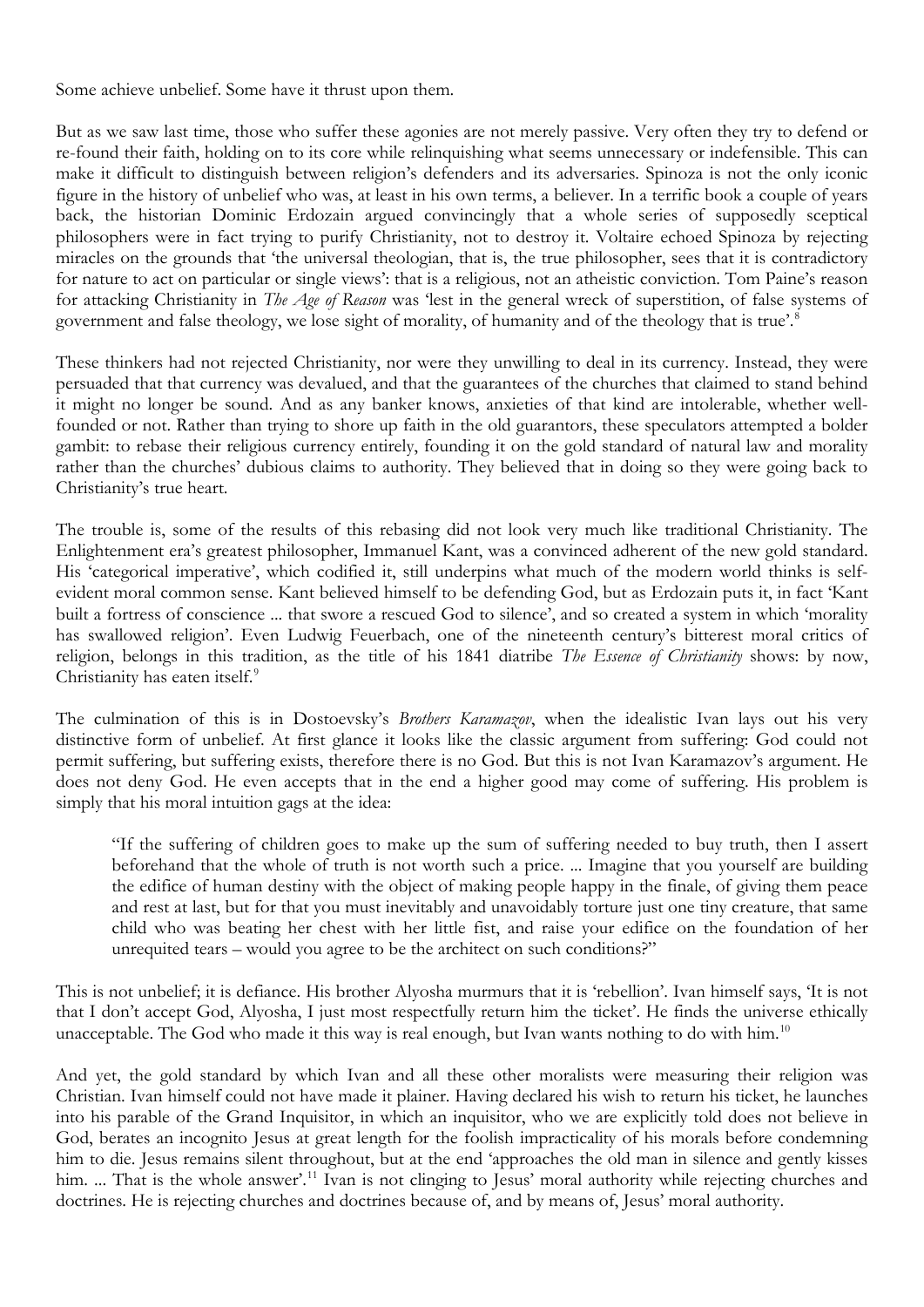Some achieve unbelief. Some have it thrust upon them.

But as we saw last time, those who suffer these agonies are not merely passive. Very often they try to defend or re-found their faith, holding on to its core while relinquishing what seems unnecessary or indefensible. This can make it difficult to distinguish between religion's defenders and its adversaries. Spinoza is not the only iconic figure in the history of unbelief who was, at least in his own terms, a believer. In a terrific book a couple of years back, the historian Dominic Erdozain argued convincingly that a whole series of supposedly sceptical philosophers were in fact trying to purify Christianity, not to destroy it. Voltaire echoed Spinoza by rejecting miracles on the grounds that 'the universal theologian, that is, the true philosopher, sees that it is contradictory for nature to act on particular or single views': that is a religious, not an atheistic conviction. Tom Paine's reason for attacking Christianity in *The Age of Reason* was 'lest in the general wreck of superstition, of false systems of government and false theology, we lose sight of morality, of humanity and of the theology that is true'.<sup>[8](#page-2-7)</sup>

These thinkers had not rejected Christianity, nor were they unwilling to deal in its currency. Instead, they were persuaded that that currency was devalued, and that the guarantees of the churches that claimed to stand behind it might no longer be sound. And as any banker knows, anxieties of that kind are intolerable, whether wellfounded or not. Rather than trying to shore up faith in the old guarantors, these speculators attempted a bolder gambit: to rebase their religious currency entirely, founding it on the gold standard of natural law and morality rather than the churches' dubious claims to authority. They believed that in doing so they were going back to Christianity's true heart.

The trouble is, some of the results of this rebasing did not look very much like traditional Christianity. The Enlightenment era's greatest philosopher, Immanuel Kant, was a convinced adherent of the new gold standard. His 'categorical imperative', which codified it, still underpins what much of the modern world thinks is selfevident moral common sense. Kant believed himself to be defending God, but as Erdozain puts it, in fact 'Kant built a fortress of conscience ... that swore a rescued God to silence<sup>7</sup>, and so created a system in which 'morality has swallowed religion'. Even Ludwig Feuerbach, one of the nineteenth century's bitterest moral critics of religion, belongs in this tradition, as the title of his 1841 diatribe *The Essence of Christianity* shows: by now, Christianity has eaten itself.<sup>[9](#page-2-8)</sup>

The culmination of this is in Dostoevsky's *Brothers Karamazov*, when the idealistic Ivan lays out his very distinctive form of unbelief. At first glance it looks like the classic argument from suffering: God could not permit suffering, but suffering exists, therefore there is no God. But this is not Ivan Karamazov's argument. He does not deny God. He even accepts that in the end a higher good may come of suffering. His problem is simply that his moral intuition gags at the idea:

"If the suffering of children goes to make up the sum of suffering needed to buy truth, then I assert beforehand that the whole of truth is not worth such a price. ... Imagine that you yourself are building the edifice of human destiny with the object of making people happy in the finale, of giving them peace and rest at last, but for that you must inevitably and unavoidably torture just one tiny creature, that same child who was beating her chest with her little fist, and raise your edifice on the foundation of her unrequited tears – would you agree to be the architect on such conditions?"

This is not unbelief; it is defiance. His brother Alyosha murmurs that it is 'rebellion'. Ivan himself says, 'It is not that I don't accept God, Alyosha, I just most respectfully return him the ticket'. He finds the universe ethically unacceptable. The God who made it this way is real enough, but Ivan wants nothing to do with him.<sup>[10](#page-2-9)</sup>

And yet, the gold standard by which Ivan and all these other moralists were measuring their religion was Christian. Ivan himself could not have made it plainer. Having declared his wish to return his ticket, he launches into his parable of the Grand Inquisitor, in which an inquisitor, who we are explicitly told does not believe in God, berates an incognito Jesus at great length for the foolish impracticality of his morals before condemning him to die. Jesus remains silent throughout, but at the end 'approaches the old man in silence and gently kisses him. ... That is the whole answer'.<sup>[11](#page-2-10)</sup> Ivan is not clinging to Jesus' moral authority while rejecting churches and doctrines. He is rejecting churches and doctrines because of, and by means of, Jesus' moral authority.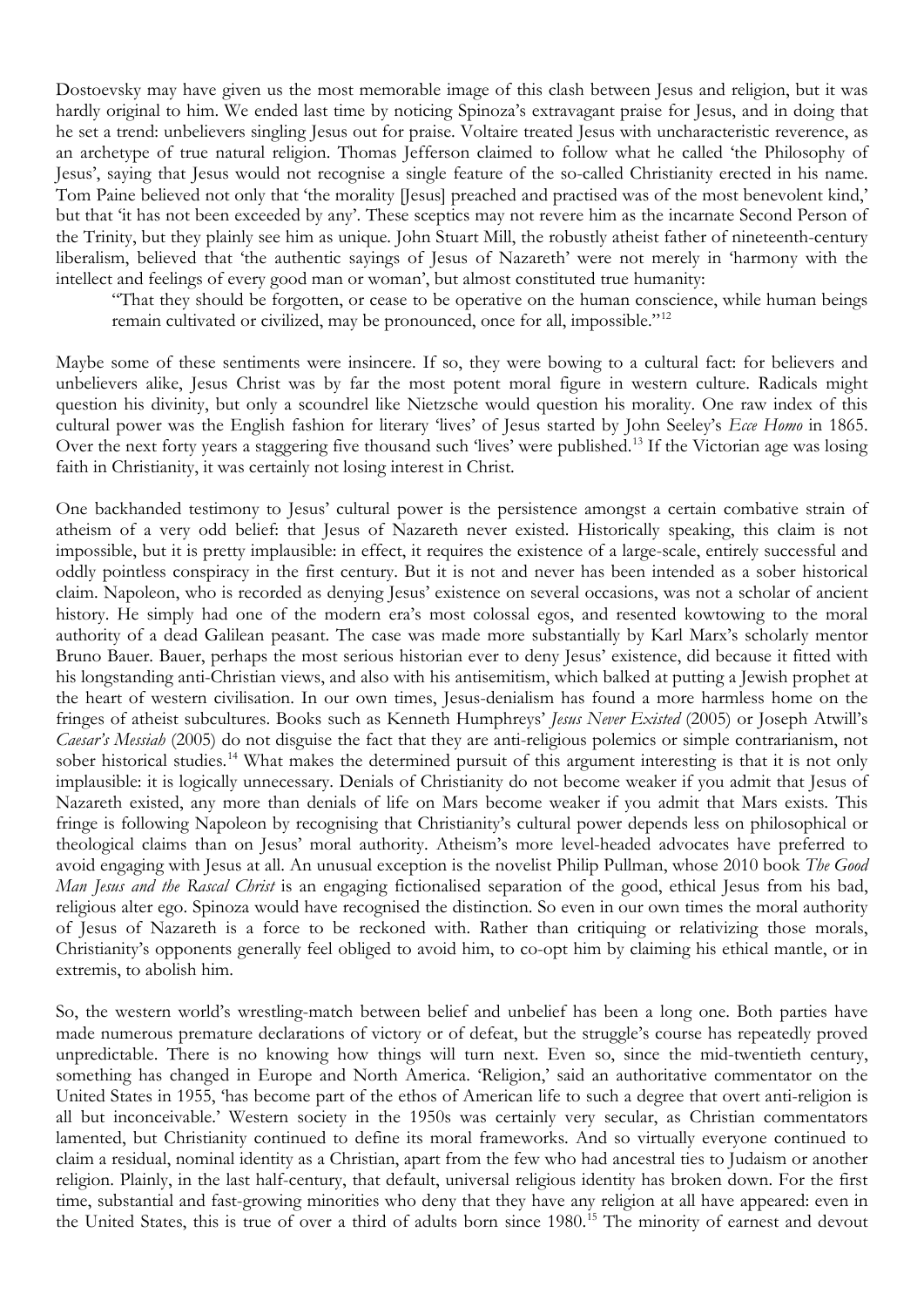Dostoevsky may have given us the most memorable image of this clash between Jesus and religion, but it was hardly original to him. We ended last time by noticing Spinoza's extravagant praise for Jesus, and in doing that he set a trend: unbelievers singling Jesus out for praise. Voltaire treated Jesus with uncharacteristic reverence, as an archetype of true natural religion. Thomas Jefferson claimed to follow what he called 'the Philosophy of Jesus', saying that Jesus would not recognise a single feature of the so-called Christianity erected in his name. Tom Paine believed not only that 'the morality [Jesus] preached and practised was of the most benevolent kind,' but that 'it has not been exceeded by any'. These sceptics may not revere him as the incarnate Second Person of the Trinity, but they plainly see him as unique. John Stuart Mill, the robustly atheist father of nineteenth-century liberalism, believed that 'the authentic sayings of Jesus of Nazareth' were not merely in 'harmony with the intellect and feelings of every good man or woman', but almost constituted true humanity:

"That they should be forgotten, or cease to be operative on the human conscience, while human beings remain cultivated or civilized, may be pronounced, once for all, impossible."<sup>[12](#page-2-11)</sup>

Maybe some of these sentiments were insincere. If so, they were bowing to a cultural fact: for believers and unbelievers alike, Jesus Christ was by far the most potent moral figure in western culture. Radicals might question his divinity, but only a scoundrel like Nietzsche would question his morality. One raw index of this cultural power was the English fashion for literary 'lives' of Jesus started by John Seeley's *Ecce Homo* in 1865. Over the next forty years a staggering five thousand such 'lives' were published.[13](#page-2-12) If the Victorian age was losing faith in Christianity, it was certainly not losing interest in Christ.

One backhanded testimony to Jesus' cultural power is the persistence amongst a certain combative strain of atheism of a very odd belief: that Jesus of Nazareth never existed. Historically speaking, this claim is not impossible, but it is pretty implausible: in effect, it requires the existence of a large-scale, entirely successful and oddly pointless conspiracy in the first century. But it is not and never has been intended as a sober historical claim. Napoleon, who is recorded as denying Jesus' existence on several occasions, was not a scholar of ancient history. He simply had one of the modern era's most colossal egos, and resented kowtowing to the moral authority of a dead Galilean peasant. The case was made more substantially by Karl Marx's scholarly mentor Bruno Bauer. Bauer, perhaps the most serious historian ever to deny Jesus' existence, did because it fitted with his longstanding anti-Christian views, and also with his antisemitism, which balked at putting a Jewish prophet at the heart of western civilisation. In our own times, Jesus-denialism has found a more harmless home on the fringes of atheist subcultures. Books such as Kenneth Humphreys' *Jesus Never Existed* (2005) or Joseph Atwill's *Caesar's Messiah* (2005) do not disguise the fact that they are anti-religious polemics or simple contrarianism, not sober historical studies.<sup>[14](#page-2-13)</sup> What makes the determined pursuit of this argument interesting is that it is not only implausible: it is logically unnecessary. Denials of Christianity do not become weaker if you admit that Jesus of Nazareth existed, any more than denials of life on Mars become weaker if you admit that Mars exists. This fringe is following Napoleon by recognising that Christianity's cultural power depends less on philosophical or theological claims than on Jesus' moral authority. Atheism's more level-headed advocates have preferred to avoid engaging with Jesus at all. An unusual exception is the novelist Philip Pullman, whose 2010 book *The Good Man Jesus and the Rascal Christ* is an engaging fictionalised separation of the good, ethical Jesus from his bad, religious alter ego. Spinoza would have recognised the distinction. So even in our own times the moral authority of Jesus of Nazareth is a force to be reckoned with. Rather than critiquing or relativizing those morals, Christianity's opponents generally feel obliged to avoid him, to co-opt him by claiming his ethical mantle, or in extremis, to abolish him.

So, the western world's wrestling-match between belief and unbelief has been a long one. Both parties have made numerous premature declarations of victory or of defeat, but the struggle's course has repeatedly proved unpredictable. There is no knowing how things will turn next. Even so, since the mid-twentieth century, something has changed in Europe and North America. 'Religion,' said an authoritative commentator on the United States in 1955, 'has become part of the ethos of American life to such a degree that overt anti-religion is all but inconceivable.' Western society in the 1950s was certainly very secular, as Christian commentators lamented, but Christianity continued to define its moral frameworks. And so virtually everyone continued to claim a residual, nominal identity as a Christian, apart from the few who had ancestral ties to Judaism or another religion. Plainly, in the last half-century, that default, universal religious identity has broken down. For the first time, substantial and fast-growing minorities who deny that they have any religion at all have appeared: even in the United States, this is true of over a third of adults born since 1980.<sup>[15](#page-2-14)</sup> The minority of earnest and devout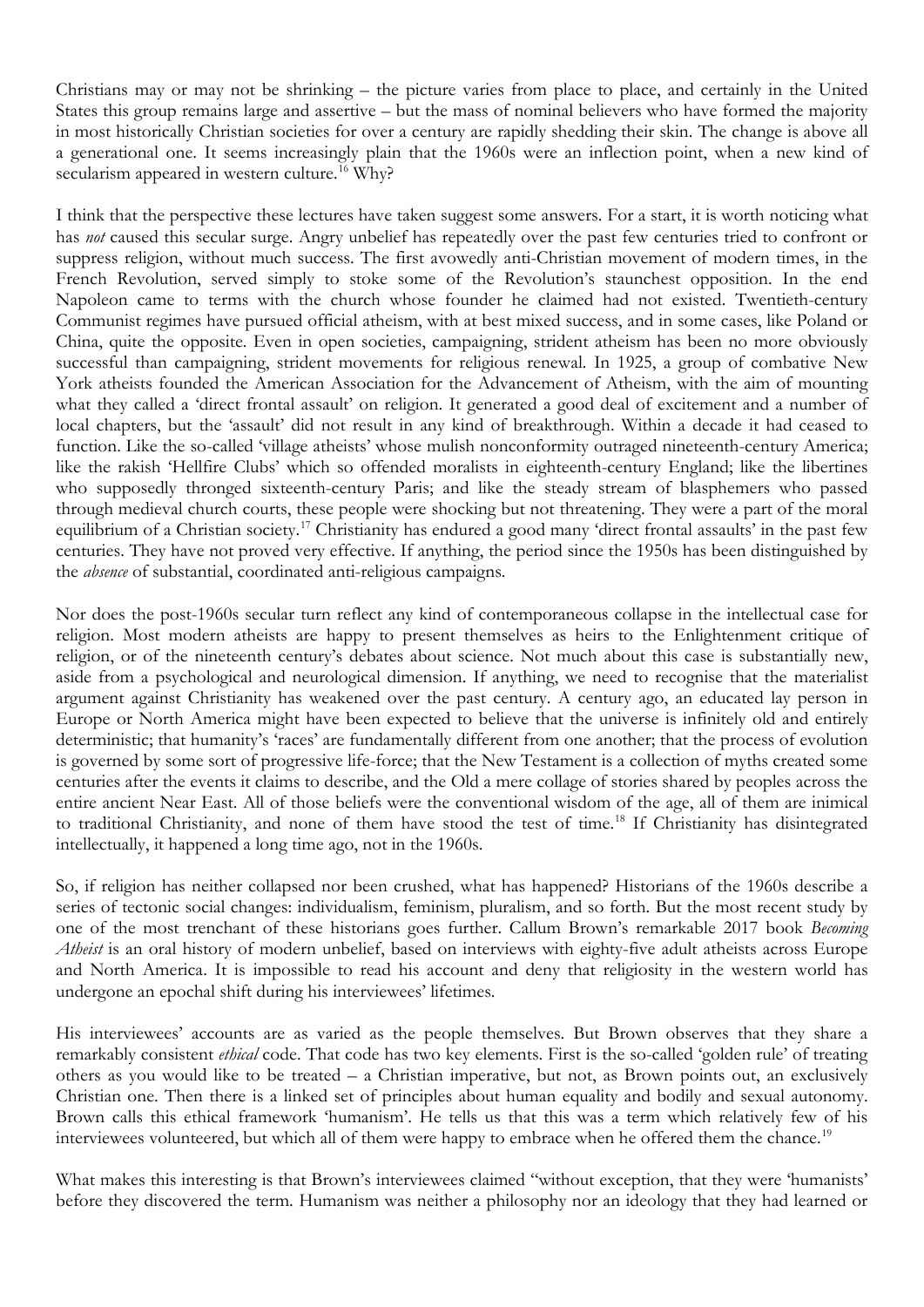Christians may or may not be shrinking – the picture varies from place to place, and certainly in the United States this group remains large and assertive – but the mass of nominal believers who have formed the majority in most historically Christian societies for over a century are rapidly shedding their skin. The change is above all a generational one. It seems increasingly plain that the 1960s were an inflection point, when a new kind of secularism appeared in western culture.<sup>[16](#page-2-15)</sup> Why?

I think that the perspective these lectures have taken suggest some answers. For a start, it is worth noticing what has *not* caused this secular surge. Angry unbelief has repeatedly over the past few centuries tried to confront or suppress religion, without much success. The first avowedly anti-Christian movement of modern times, in the French Revolution, served simply to stoke some of the Revolution's staunchest opposition. In the end Napoleon came to terms with the church whose founder he claimed had not existed. Twentieth-century Communist regimes have pursued official atheism, with at best mixed success, and in some cases, like Poland or China, quite the opposite. Even in open societies, campaigning, strident atheism has been no more obviously successful than campaigning, strident movements for religious renewal. In 1925, a group of combative New York atheists founded the American Association for the Advancement of Atheism, with the aim of mounting what they called a 'direct frontal assault' on religion. It generated a good deal of excitement and a number of local chapters, but the 'assault' did not result in any kind of breakthrough. Within a decade it had ceased to function. Like the so-called 'village atheists' whose mulish nonconformity outraged nineteenth-century America; like the rakish 'Hellfire Clubs' which so offended moralists in eighteenth-century England; like the libertines who supposedly thronged sixteenth-century Paris; and like the steady stream of blasphemers who passed through medieval church courts, these people were shocking but not threatening. They were a part of the moral equilibrium of a Christian society.[17](#page-2-16) Christianity has endured a good many 'direct frontal assaults' in the past few centuries. They have not proved very effective. If anything, the period since the 1950s has been distinguished by the *absence* of substantial, coordinated anti-religious campaigns.

Nor does the post-1960s secular turn reflect any kind of contemporaneous collapse in the intellectual case for religion. Most modern atheists are happy to present themselves as heirs to the Enlightenment critique of religion, or of the nineteenth century's debates about science. Not much about this case is substantially new, aside from a psychological and neurological dimension. If anything, we need to recognise that the materialist argument against Christianity has weakened over the past century. A century ago, an educated lay person in Europe or North America might have been expected to believe that the universe is infinitely old and entirely deterministic; that humanity's 'races' are fundamentally different from one another; that the process of evolution is governed by some sort of progressive life-force; that the New Testament is a collection of myths created some centuries after the events it claims to describe, and the Old a mere collage of stories shared by peoples across the entire ancient Near East. All of those beliefs were the conventional wisdom of the age, all of them are inimical to traditional Christianity, and none of them have stood the test of time.[18](#page-2-17) If Christianity has disintegrated intellectually, it happened a long time ago, not in the 1960s.

So, if religion has neither collapsed nor been crushed, what has happened? Historians of the 1960s describe a series of tectonic social changes: individualism, feminism, pluralism, and so forth. But the most recent study by one of the most trenchant of these historians goes further. Callum Brown's remarkable 2017 book *Becoming Atheist* is an oral history of modern unbelief, based on interviews with eighty-five adult atheists across Europe and North America. It is impossible to read his account and deny that religiosity in the western world has undergone an epochal shift during his interviewees' lifetimes.

His interviewees' accounts are as varied as the people themselves. But Brown observes that they share a remarkably consistent *ethical* code. That code has two key elements. First is the so-called 'golden rule' of treating others as you would like to be treated – a Christian imperative, but not, as Brown points out, an exclusively Christian one. Then there is a linked set of principles about human equality and bodily and sexual autonomy. Brown calls this ethical framework 'humanism'. He tells us that this was a term which relatively few of his interviewees volunteered, but which all of them were happy to embrace when he offered them the chance.<sup>[19](#page-2-18)</sup>

What makes this interesting is that Brown's interviewees claimed "without exception, that they were 'humanists' before they discovered the term. Humanism was neither a philosophy nor an ideology that they had learned or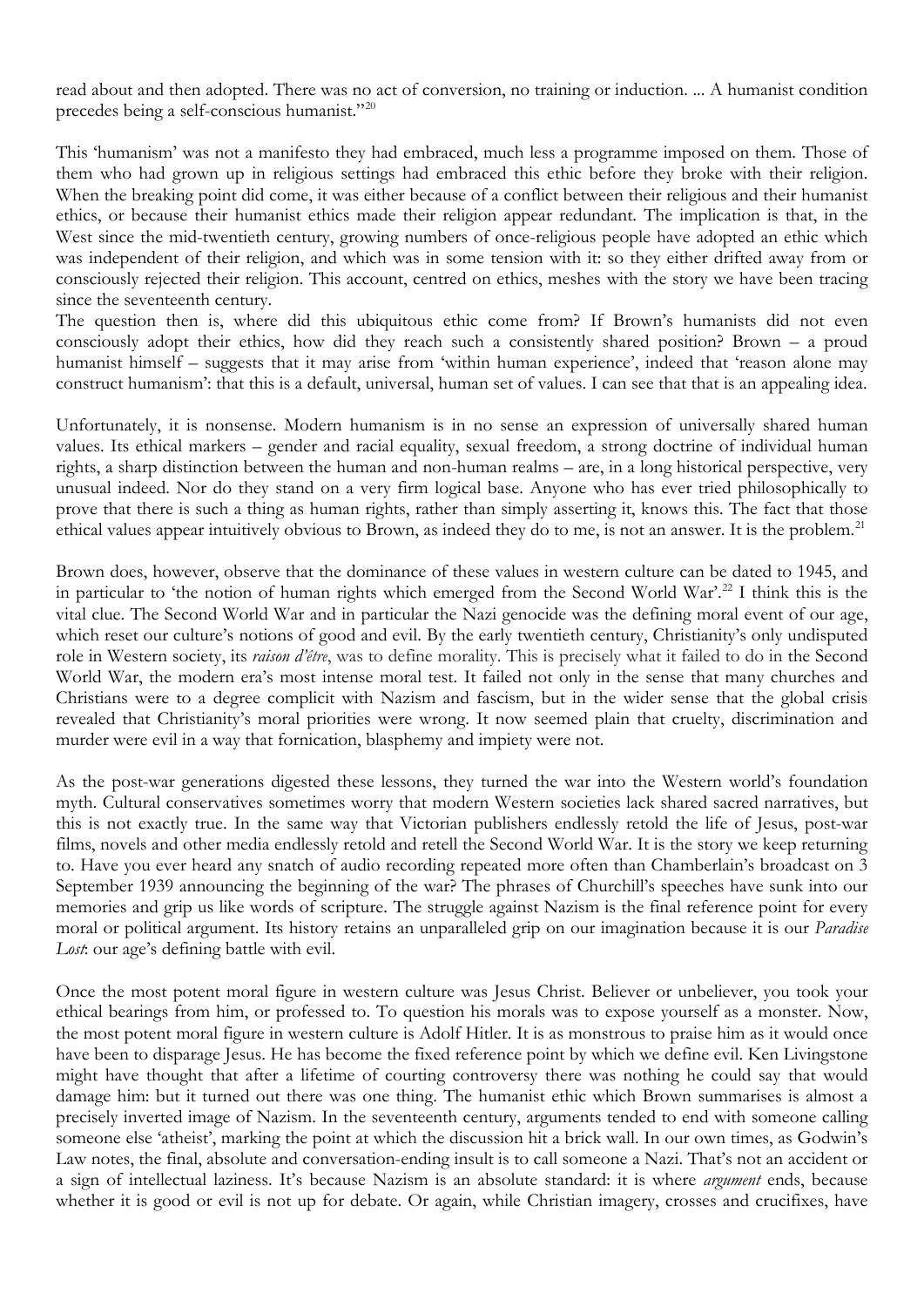read about and then adopted. There was no act of conversion, no training or induction. ... A humanist condition precedes being a self-conscious humanist."[20](#page-2-19)

This 'humanism' was not a manifesto they had embraced, much less a programme imposed on them. Those of them who had grown up in religious settings had embraced this ethic before they broke with their religion. When the breaking point did come, it was either because of a conflict between their religious and their humanist ethics, or because their humanist ethics made their religion appear redundant. The implication is that, in the West since the mid-twentieth century, growing numbers of once-religious people have adopted an ethic which was independent of their religion, and which was in some tension with it: so they either drifted away from or consciously rejected their religion. This account, centred on ethics, meshes with the story we have been tracing since the seventeenth century.

The question then is, where did this ubiquitous ethic come from? If Brown's humanists did not even consciously adopt their ethics, how did they reach such a consistently shared position? Brown – a proud humanist himself – suggests that it may arise from 'within human experience', indeed that 'reason alone may construct humanism': that this is a default, universal, human set of values. I can see that that is an appealing idea.

Unfortunately, it is nonsense. Modern humanism is in no sense an expression of universally shared human values. Its ethical markers – gender and racial equality, sexual freedom, a strong doctrine of individual human rights, a sharp distinction between the human and non-human realms – are, in a long historical perspective, very unusual indeed. Nor do they stand on a very firm logical base. Anyone who has ever tried philosophically to prove that there is such a thing as human rights, rather than simply asserting it, knows this. The fact that those ethical values appear intuitively obvious to Brown, as indeed they do to me, is not an answer. It is the problem.<sup>[21](#page-2-20)</sup>

Brown does, however, observe that the dominance of these values in western culture can be dated to 1945, and in particular to 'the notion of human rights which emerged from the Second World War'.[22](#page-2-21) I think this is the vital clue. The Second World War and in particular the Nazi genocide was the defining moral event of our age, which reset our culture's notions of good and evil. By the early twentieth century, Christianity's only undisputed role in Western society, its *raison d'être*, was to define morality. This is precisely what it failed to do in the Second World War, the modern era's most intense moral test. It failed not only in the sense that many churches and Christians were to a degree complicit with Nazism and fascism, but in the wider sense that the global crisis revealed that Christianity's moral priorities were wrong. It now seemed plain that cruelty, discrimination and murder were evil in a way that fornication, blasphemy and impiety were not.

As the post-war generations digested these lessons, they turned the war into the Western world's foundation myth. Cultural conservatives sometimes worry that modern Western societies lack shared sacred narratives, but this is not exactly true. In the same way that Victorian publishers endlessly retold the life of Jesus, post-war films, novels and other media endlessly retold and retell the Second World War. It is the story we keep returning to. Have you ever heard any snatch of audio recording repeated more often than Chamberlain's broadcast on 3 September 1939 announcing the beginning of the war? The phrases of Churchill's speeches have sunk into our memories and grip us like words of scripture. The struggle against Nazism is the final reference point for every moral or political argument. Its history retains an unparalleled grip on our imagination because it is our *Paradise Lost*: our age's defining battle with evil.

Once the most potent moral figure in western culture was Jesus Christ. Believer or unbeliever, you took your ethical bearings from him, or professed to. To question his morals was to expose yourself as a monster. Now, the most potent moral figure in western culture is Adolf Hitler. It is as monstrous to praise him as it would once have been to disparage Jesus. He has become the fixed reference point by which we define evil. Ken Livingstone might have thought that after a lifetime of courting controversy there was nothing he could say that would damage him: but it turned out there was one thing. The humanist ethic which Brown summarises is almost a precisely inverted image of Nazism. In the seventeenth century, arguments tended to end with someone calling someone else 'atheist', marking the point at which the discussion hit a brick wall. In our own times, as Godwin's Law notes, the final, absolute and conversation-ending insult is to call someone a Nazi. That's not an accident or a sign of intellectual laziness. It's because Nazism is an absolute standard: it is where *argument* ends, because whether it is good or evil is not up for debate. Or again, while Christian imagery, crosses and crucifixes, have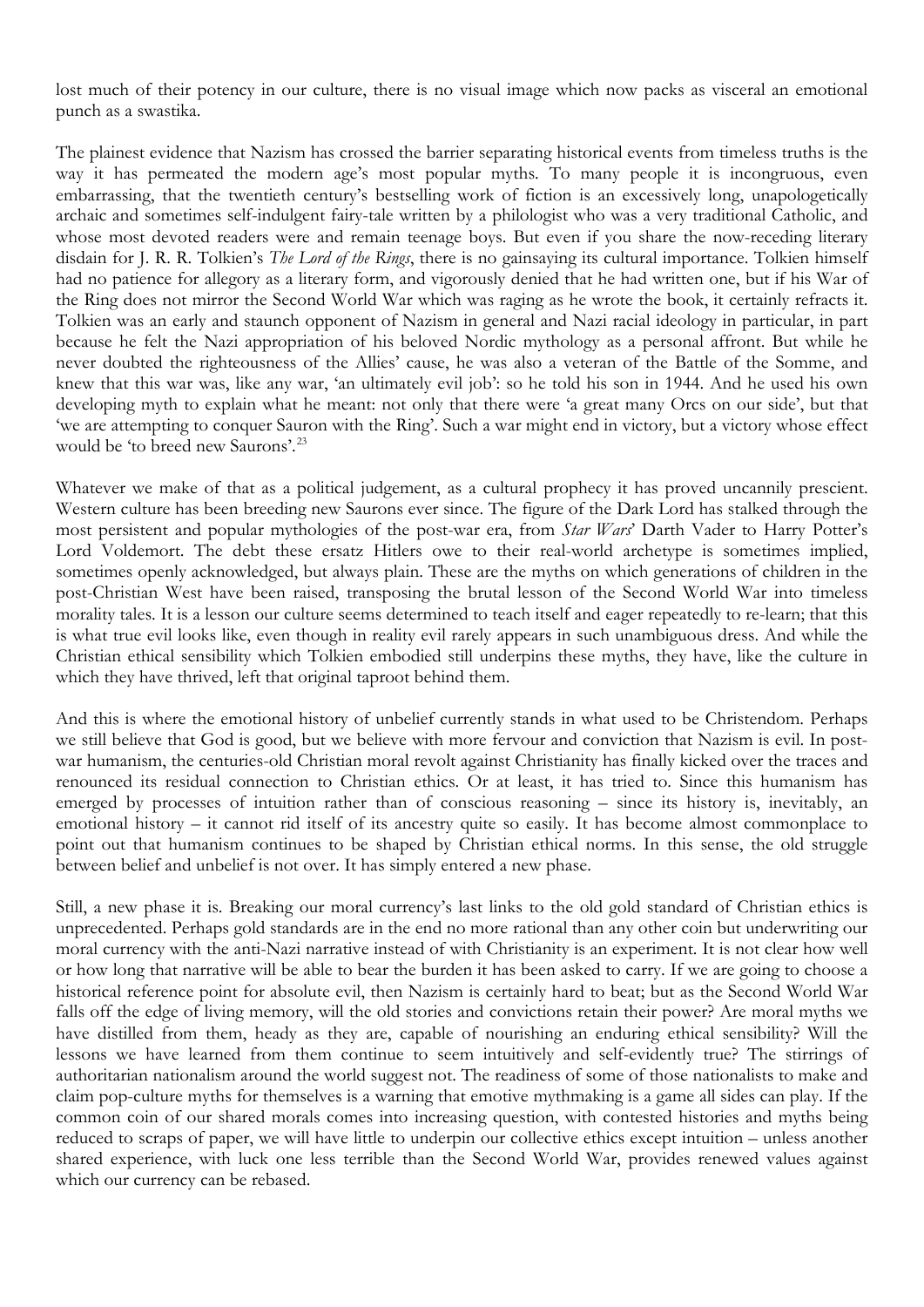lost much of their potency in our culture, there is no visual image which now packs as visceral an emotional punch as a swastika.

The plainest evidence that Nazism has crossed the barrier separating historical events from timeless truths is the way it has permeated the modern age's most popular myths. To many people it is incongruous, even embarrassing, that the twentieth century's bestselling work of fiction is an excessively long, unapologetically archaic and sometimes self-indulgent fairy-tale written by a philologist who was a very traditional Catholic, and whose most devoted readers were and remain teenage boys. But even if you share the now-receding literary disdain for J. R. R. Tolkien's *The Lord of the Rings*, there is no gainsaying its cultural importance. Tolkien himself had no patience for allegory as a literary form, and vigorously denied that he had written one, but if his War of the Ring does not mirror the Second World War which was raging as he wrote the book, it certainly refracts it. Tolkien was an early and staunch opponent of Nazism in general and Nazi racial ideology in particular, in part because he felt the Nazi appropriation of his beloved Nordic mythology as a personal affront. But while he never doubted the righteousness of the Allies' cause, he was also a veteran of the Battle of the Somme, and knew that this war was, like any war, 'an ultimately evil job': so he told his son in 1944. And he used his own developing myth to explain what he meant: not only that there were 'a great many Orcs on our side', but that 'we are attempting to conquer Sauron with the Ring'. Such a war might end in victory, but a victory whose effect would be 'to breed new Saurons'.<sup>[23](#page-2-22)</sup>

Whatever we make of that as a political judgement, as a cultural prophecy it has proved uncannily prescient. Western culture has been breeding new Saurons ever since. The figure of the Dark Lord has stalked through the most persistent and popular mythologies of the post-war era, from *Star Wars*' Darth Vader to Harry Potter's Lord Voldemort. The debt these ersatz Hitlers owe to their real-world archetype is sometimes implied, sometimes openly acknowledged, but always plain. These are the myths on which generations of children in the post-Christian West have been raised, transposing the brutal lesson of the Second World War into timeless morality tales. It is a lesson our culture seems determined to teach itself and eager repeatedly to re-learn; that this is what true evil looks like, even though in reality evil rarely appears in such unambiguous dress. And while the Christian ethical sensibility which Tolkien embodied still underpins these myths, they have, like the culture in which they have thrived, left that original taproot behind them.

And this is where the emotional history of unbelief currently stands in what used to be Christendom. Perhaps we still believe that God is good, but we believe with more fervour and conviction that Nazism is evil. In postwar humanism, the centuries-old Christian moral revolt against Christianity has finally kicked over the traces and renounced its residual connection to Christian ethics. Or at least, it has tried to. Since this humanism has emerged by processes of intuition rather than of conscious reasoning – since its history is, inevitably, an emotional history – it cannot rid itself of its ancestry quite so easily. It has become almost commonplace to point out that humanism continues to be shaped by Christian ethical norms. In this sense, the old struggle between belief and unbelief is not over. It has simply entered a new phase.

Still, a new phase it is. Breaking our moral currency's last links to the old gold standard of Christian ethics is unprecedented. Perhaps gold standards are in the end no more rational than any other coin but underwriting our moral currency with the anti-Nazi narrative instead of with Christianity is an experiment. It is not clear how well or how long that narrative will be able to bear the burden it has been asked to carry. If we are going to choose a historical reference point for absolute evil, then Nazism is certainly hard to beat; but as the Second World War falls off the edge of living memory, will the old stories and convictions retain their power? Are moral myths we have distilled from them, heady as they are, capable of nourishing an enduring ethical sensibility? Will the lessons we have learned from them continue to seem intuitively and self-evidently true? The stirrings of authoritarian nationalism around the world suggest not. The readiness of some of those nationalists to make and claim pop-culture myths for themselves is a warning that emotive mythmaking is a game all sides can play. If the common coin of our shared morals comes into increasing question, with contested histories and myths being reduced to scraps of paper, we will have little to underpin our collective ethics except intuition – unless another shared experience, with luck one less terrible than the Second World War, provides renewed values against which our currency can be rebased.